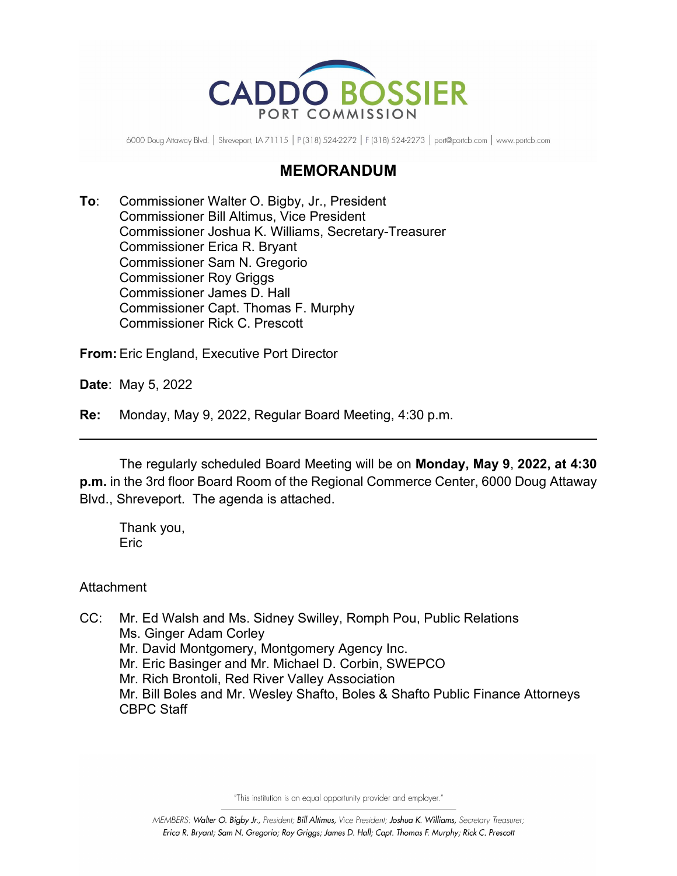

6000 Doug Attaway Blvd. | Shreveport, LA 71115 | P (318) 524-2272 | F (318) 524-2273 | port@portcb.com | www.portcb.com

### **MEMORANDUM**

**To**: Commissioner Walter O. Bigby, Jr., President Commissioner Bill Altimus, Vice President Commissioner Joshua K. Williams, Secretary-Treasurer Commissioner Erica R. Bryant Commissioner Sam N. Gregorio Commissioner Roy Griggs Commissioner James D. Hall Commissioner Capt. Thomas F. Murphy Commissioner Rick C. Prescott

**From:** Eric England, Executive Port Director

**Date**: May 5, 2022

**Re:** Monday, May 9, 2022, Regular Board Meeting, 4:30 p.m.

The regularly scheduled Board Meeting will be on **Monday, May 9**, **2022, at 4:30 p.m.** in the 3rd floor Board Room of the Regional Commerce Center, 6000 Doug Attaway Blvd., Shreveport. The agenda is attached.

Thank you, **Eric** 

Attachment

CC: Mr. Ed Walsh and Ms. Sidney Swilley, Romph Pou, Public Relations Ms. Ginger Adam Corley Mr. David Montgomery, Montgomery Agency Inc. Mr. Eric Basinger and Mr. Michael D. Corbin, SWEPCO Mr. Rich Brontoli, Red River Valley Association Mr. Bill Boles and Mr. Wesley Shafto, Boles & Shafto Public Finance Attorneys CBPC Staff

"This institution is an equal opportunity provider and employer."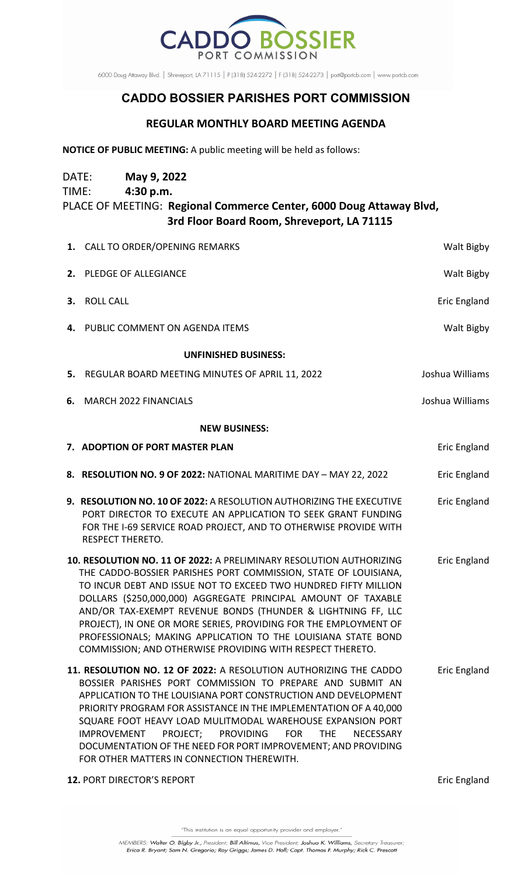

6000 Doug Attaway Blvd. | Shreveport, LA 71115 | P (318) 524-2272 | F (318) 524-2273 | port@portcb.com | www.portcb.com

# **CADDO BOSSIER PARISHES PORT COMMISSION**

## **REGULAR MONTHLY BOARD MEETING AGENDA**

**NOTICE OF PUBLIC MEETING:** A public meeting will be held as follows:

|                                                                                                                   | DATE:<br>May 9, 2022<br>TIME:<br>4:30 p.m.                                                                                                                                                                                                                                                                                                                                                                                                                                                                                                        |                     |
|-------------------------------------------------------------------------------------------------------------------|---------------------------------------------------------------------------------------------------------------------------------------------------------------------------------------------------------------------------------------------------------------------------------------------------------------------------------------------------------------------------------------------------------------------------------------------------------------------------------------------------------------------------------------------------|---------------------|
| PLACE OF MEETING: Regional Commerce Center, 6000 Doug Attaway Blvd,<br>3rd Floor Board Room, Shreveport, LA 71115 |                                                                                                                                                                                                                                                                                                                                                                                                                                                                                                                                                   |                     |
|                                                                                                                   | 1. CALL TO ORDER/OPENING REMARKS                                                                                                                                                                                                                                                                                                                                                                                                                                                                                                                  | Walt Bigby          |
|                                                                                                                   | 2. PLEDGE OF ALLEGIANCE                                                                                                                                                                                                                                                                                                                                                                                                                                                                                                                           | Walt Bigby          |
|                                                                                                                   | 3. ROLL CALL                                                                                                                                                                                                                                                                                                                                                                                                                                                                                                                                      | Eric England        |
|                                                                                                                   | 4. PUBLIC COMMENT ON AGENDA ITEMS                                                                                                                                                                                                                                                                                                                                                                                                                                                                                                                 | Walt Bigby          |
| <b>UNFINISHED BUSINESS:</b>                                                                                       |                                                                                                                                                                                                                                                                                                                                                                                                                                                                                                                                                   |                     |
|                                                                                                                   | 5. REGULAR BOARD MEETING MINUTES OF APRIL 11, 2022                                                                                                                                                                                                                                                                                                                                                                                                                                                                                                | Joshua Williams     |
| 6.                                                                                                                | MARCH 2022 FINANCIALS                                                                                                                                                                                                                                                                                                                                                                                                                                                                                                                             | Joshua Williams     |
| <b>NEW BUSINESS:</b>                                                                                              |                                                                                                                                                                                                                                                                                                                                                                                                                                                                                                                                                   |                     |
|                                                                                                                   | 7. ADOPTION OF PORT MASTER PLAN                                                                                                                                                                                                                                                                                                                                                                                                                                                                                                                   | Eric England        |
|                                                                                                                   | 8. RESOLUTION NO. 9 OF 2022: NATIONAL MARITIME DAY - MAY 22, 2022                                                                                                                                                                                                                                                                                                                                                                                                                                                                                 | <b>Eric England</b> |
|                                                                                                                   | 9. RESOLUTION NO. 10 OF 2022: A RESOLUTION AUTHORIZING THE EXECUTIVE<br>PORT DIRECTOR TO EXECUTE AN APPLICATION TO SEEK GRANT FUNDING<br>FOR THE I-69 SERVICE ROAD PROJECT, AND TO OTHERWISE PROVIDE WITH<br><b>RESPECT THERETO.</b>                                                                                                                                                                                                                                                                                                              | Eric England        |
|                                                                                                                   | 10. RESOLUTION NO. 11 OF 2022: A PRELIMINARY RESOLUTION AUTHORIZING<br>THE CADDO-BOSSIER PARISHES PORT COMMISSION, STATE OF LOUISIANA,<br>TO INCUR DEBT AND ISSUE NOT TO EXCEED TWO HUNDRED FIFTY MILLION<br>DOLLARS (\$250,000,000) AGGREGATE PRINCIPAL AMOUNT OF TAXABLE<br>AND/OR TAX-EXEMPT REVENUE BONDS (THUNDER & LIGHTNING FF, LLC<br>PROJECT), IN ONE OR MORE SERIES, PROVIDING FOR THE EMPLOYMENT OF<br>PROFESSIONALS; MAKING APPLICATION TO THE LOUISIANA STATE BOND<br>COMMISSION; AND OTHERWISE PROVIDING WITH RESPECT THERETO.      | Eric England        |
|                                                                                                                   | 11. RESOLUTION NO. 12 OF 2022: A RESOLUTION AUTHORIZING THE CADDO<br>BOSSIER PARISHES PORT COMMISSION TO PREPARE AND SUBMIT AN<br>APPLICATION TO THE LOUISIANA PORT CONSTRUCTION AND DEVELOPMENT<br>PRIORITY PROGRAM FOR ASSISTANCE IN THE IMPLEMENTATION OF A 40,000<br>SQUARE FOOT HEAVY LOAD MULITMODAL WAREHOUSE EXPANSION PORT<br><b>IMPROVEMENT</b><br>PROJECT;<br>PROVIDING<br><b>FOR</b><br><b>THE</b><br><b>NECESSARY</b><br>DOCUMENTATION OF THE NEED FOR PORT IMPROVEMENT; AND PROVIDING<br>FOR OTHER MATTERS IN CONNECTION THEREWITH. | Eric England        |

**12.** PORT DIRECTOR'S REPORT **EXECUTE:**  $\blacksquare$ 

<sup>&</sup>quot;This institution is an equal opportunity provider and employer."